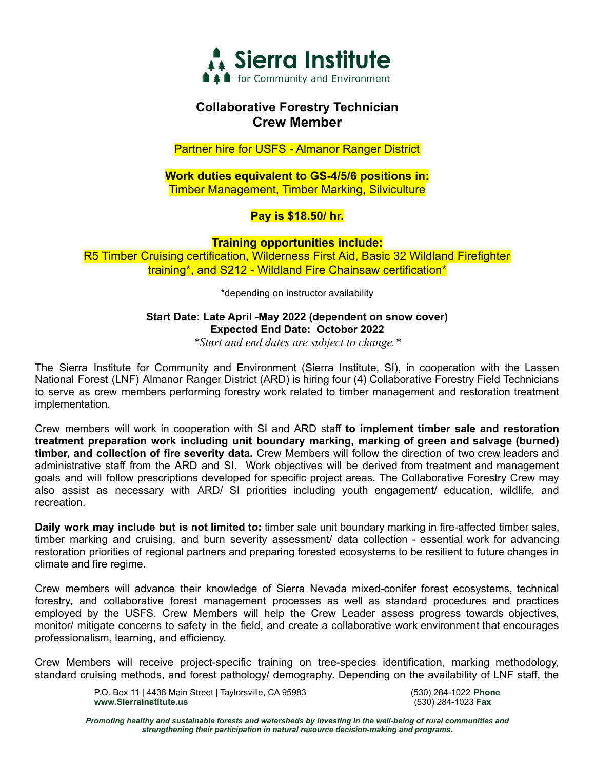

## **Collaborative Forestry Technician Crew Member**

Partner hire for USFS - Almanor Ranger District

### **Work duties equivalent to GS-4/5/6 positions in:** Timber Management, Timber Marking, Silviculture

## **Pay is \$18.50/ hr.**

**Training opportunities include:** R5 Timber Cruising certification, Wilderness First Aid, Basic 32 Wildland Firefighter training\*, and S212 - Wildland Fire Chainsaw certification\*

\*depending on instructor availability

### **Start Date: Late April -May 2022 (dependent on snow cover) Expected End Date: October 2022**

*\*Start and end dates are subject to change.\**

The Sierra Institute for Community and Environment (Sierra Institute, SI), in cooperation with the Lassen National Forest (LNF) Almanor Ranger District (ARD) is hiring four (4) Collaborative Forestry Field Technicians to serve as crew members performing forestry work related to timber management and restoration treatment implementation.

Crew members will work in cooperation with SI and ARD staff **to implement timber sale and restoration treatment preparation work including unit boundary marking, marking of green and salvage (burned) timber, and collection of fire severity data.** Crew Members will follow the direction of two crew leaders and administrative staff from the ARD and SI. Work objectives will be derived from treatment and management goals and will follow prescriptions developed for specific project areas. The Collaborative Forestry Crew may also assist as necessary with ARD/ SI priorities including youth engagement/ education, wildlife, and recreation.

**Daily work may include but is not limited to:** timber sale unit boundary marking in fire-affected timber sales, timber marking and cruising, and burn severity assessment/ data collection - essential work for advancing restoration priorities of regional partners and preparing forested ecosystems to be resilient to future changes in climate and fire regime.

Crew members will advance their knowledge of Sierra Nevada mixed-conifer forest ecosystems, technical forestry, and collaborative forest management processes as well as standard procedures and practices employed by the USFS. Crew Members will help the Crew Leader assess progress towards objectives, monitor/ mitigate concerns to safety in the field, and create a collaborative work environment that encourages professionalism, learning, and efficiency.

Crew Members will receive project-specific training on tree-species identification, marking methodology, standard cruising methods, and forest pathology/ demography. Depending on the availability of LNF staff, the

> P.O. Box 11 | 4438 Main Street | Taylorsville, CA 95983 (530) 284-1022 **Phone www.SierraInstitute.us** (530) 284-1023 **Fax**

*Promoting healthy and sustainable forests and watersheds by investing in the well-being of rural communities and strengthening their participation in natural resource decision-making and programs.*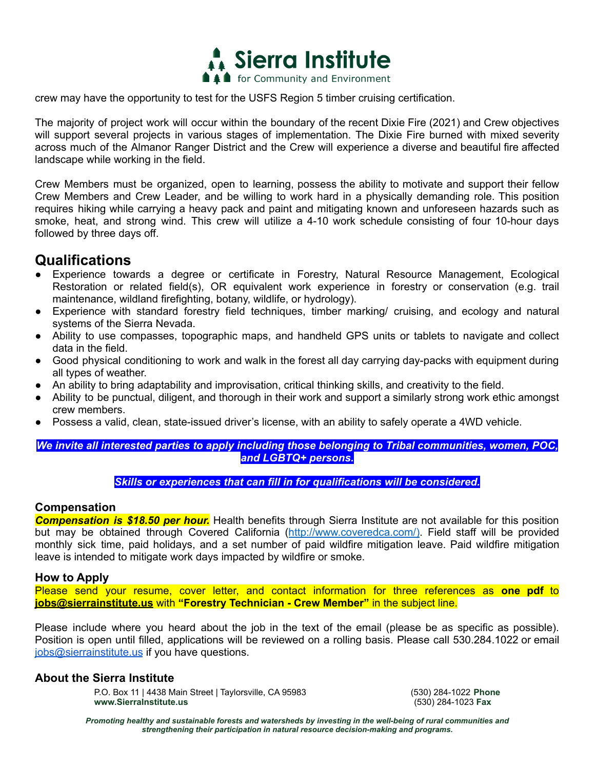

crew may have the opportunity to test for the USFS Region 5 timber cruising certification.

The majority of project work will occur within the boundary of the recent Dixie Fire (2021) and Crew objectives will support several projects in various stages of implementation. The Dixie Fire burned with mixed severity across much of the Almanor Ranger District and the Crew will experience a diverse and beautiful fire affected landscape while working in the field.

Crew Members must be organized, open to learning, possess the ability to motivate and support their fellow Crew Members and Crew Leader, and be willing to work hard in a physically demanding role. This position requires hiking while carrying a heavy pack and paint and mitigating known and unforeseen hazards such as smoke, heat, and strong wind. This crew will utilize a 4-10 work schedule consisting of four 10-hour days followed by three days off.

# **Qualifications**

- Experience towards a degree or certificate in Forestry, Natural Resource Management, Ecological Restoration or related field(s), OR equivalent work experience in forestry or conservation (e.g. trail maintenance, wildland firefighting, botany, wildlife, or hydrology).
- Experience with standard forestry field techniques, timber marking/ cruising, and ecology and natural systems of the Sierra Nevada.
- Ability to use compasses, topographic maps, and handheld GPS units or tablets to navigate and collect data in the field.
- Good physical conditioning to work and walk in the forest all day carrying day-packs with equipment during all types of weather.
- An ability to bring adaptability and improvisation, critical thinking skills, and creativity to the field.
- Ability to be punctual, diligent, and thorough in their work and support a similarly strong work ethic amongst crew members.
- Possess a valid, clean, state-issued driver's license, with an ability to safely operate a 4WD vehicle.

*We invite all interested parties to apply including those belonging to Tribal communities, women, POC, and LGBTQ+ persons.*

*Skills or experiences that can fill in for qualifications will be considered.*

### **Compensation**

*Compensation is \$18.50 per hour.* Health benefits through Sierra Institute are not available for this position but may be obtained through Covered California (http://www.coveredca.com/). Field staff will be provided monthly sick time, paid holidays, and a set number of paid wildfire mitigation leave. Paid wildfire mitigation leave is intended to mitigate work days impacted by wildfire or smoke.

### **How to Apply**

Please send your resume, cover letter, and contact information for three references as **one pdf** to **jobs@sierrainstitute.us** with **"Forestry Technician - Crew Member"** in the subject line.

Please include where you heard about the job in the text of the email (please be as specific as possible). Position is open until filled, applications will be reviewed on a rolling basis. Please call 530.284.1022 or email jobs@sierrainstitute.us if you have questions.

### **About the Sierra Institute**

P.O. Box 11 | 4438 Main Street | Taylorsville, CA 95983 (530) 284-1022 **Phone www.SierraInstitute.us** (530) 284-1023 **Fax**

*Promoting healthy and sustainable forests and watersheds by investing in the well-being of rural communities and strengthening their participation in natural resource decision-making and programs.*